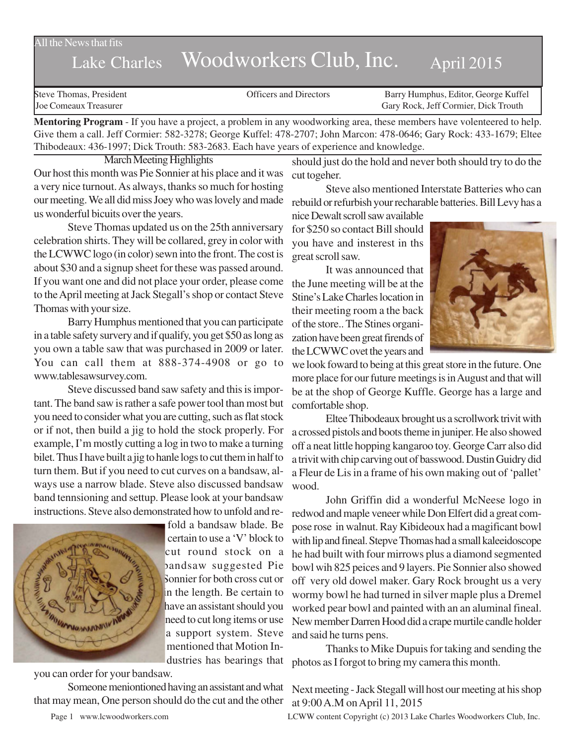All the News that fits

# Lake Charles Woodworkers Club, Inc. April 2015

Steve Thomas, President **State Concrete Concrete Concrete Concrete Concrete Concrete Concrete Concrete Concrete Concrete Concrete Concrete Concrete Concrete Concrete Concrete Concrete Concrete Concrete Concrete Concrete Co** Joe Comeaux Treasurer Gary Rock, Jeff Cormier, Dick Trouth

**Mentoring Program** - If you have a project, a problem in any woodworking area, these members have volenteered to help. Give them a call. Jeff Cormier: 582-3278; George Kuffel: 478-2707; John Marcon: 478-0646; Gary Rock: 433-1679; Eltee Thibodeaux: 436-1997; Dick Trouth: 583-2683. Each have years of experience and knowledge.

March Meeting Highlights Our host this month was Pie Sonnier at his place and it was a very nice turnout. As always, thanks so much for hosting our meeting. We all did miss Joey who was lovely and made

us wonderful bicuits over the years. Steve Thomas updated us on the 25th anniversary celebration shirts. They will be collared, grey in color with the LCWWC logo (in color) sewn into the front. The cost is about \$30 and a signup sheet for these was passed around. If you want one and did not place your order, please come to the April meeting at Jack Stegall's shop or contact Steve Thomas with your size.

Barry Humphus mentioned that you can participate in a table safety survery and if qualify, you get \$50 as long as you own a table saw that was purchased in 2009 or later. You can call them at 888-374-4908 or go to www.tablesawsurvey.com.

Steve discussed band saw safety and this is important. The band saw is rather a safe power tool than most but you need to consider what you are cutting, such as flat stock or if not, then build a jig to hold the stock properly. For example, I'm mostly cutting a log in two to make a turning bilet. Thus I have built a jig to hanle logs to cut them in half to turn them. But if you need to cut curves on a bandsaw, always use a narrow blade. Steve also discussed bandsaw band tennsioning and settup. Please look at your bandsaw instructions. Steve also demonstrated how to unfold and re-



fold a bandsaw blade. Be certain to use a 'V' block to cut round stock on a bandsaw suggested Pie Sonnier for both cross cut or in the length. Be certain to have an assistant should you need to cut long items or use a support system. Steve mentioned that Motion Industries has bearings that

you can order for your bandsaw.

Someone meniontioned having an assistant and what that may mean, One person should do the cut and the other

should just do the hold and never both should try to do the cut togeher.

Steve also mentioned Interstate Batteries who can rebuild or refurbish your recharable batteries. Bill Levy has a

nice Dewalt scroll saw available for \$250 so contact Bill should you have and insterest in ths great scroll saw.

It was announced that the June meeting will be at the Stine's Lake Charles location in their meeting room a the back of the store.. The Stines organization have been great firends of the LCWWC ovet the years and



we look foward to being at this great store in the future. One more place for our future meetings is in August and that will be at the shop of George Kuffle. George has a large and comfortable shop.

Eltee Thibodeaux brought us a scrollwork trivit with a crossed pistols and boots theme in juniper. He also showed off a neat little hopping kangaroo toy. George Carr also did a trivit with chip carving out of basswood. Dustin Guidry did a Fleur de Lis in a frame of his own making out of 'pallet' wood.

John Griffin did a wonderful McNeese logo in redwod and maple veneer while Don Elfert did a great compose rose in walnut. Ray Kibideoux had a magificant bowl with lip and fineal. Stepve Thomas had a small kaleeidoscope he had built with four mirrows plus a diamond segmented bowl wih 825 peices and 9 layers. Pie Sonnier also showed off very old dowel maker. Gary Rock brought us a very wormy bowl he had turned in silver maple plus a Dremel worked pear bowl and painted with an an aluminal fineal. New member Darren Hood did a crape murtile candle holder and said he turns pens.

Thanks to Mike Dupuis for taking and sending the photos as I forgot to bring my camera this month.

Next meeting - Jack Stegall will host our meeting at his shop at 9:00 A.M on April 11, 2015

Page 1 www.lcwoodworkers.com LCWW content Copyright (c) 2013 Lake Charles Woodworkers Club, Inc.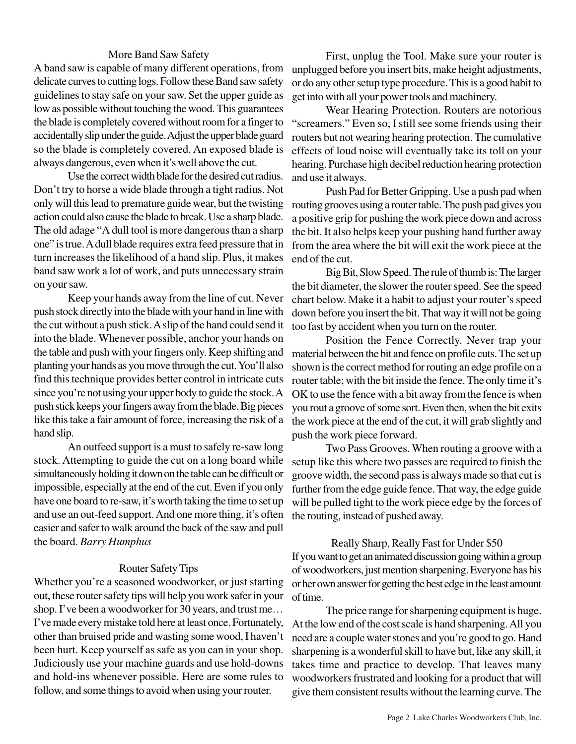## More Band Saw Safety

A band saw is capable of many different operations, from delicate curves to cutting logs. Follow these Band saw safety guidelines to stay safe on your saw. Set the upper guide as low as possible without touching the wood. This guarantees the blade is completely covered without room for a finger to accidentally slip under the guide. Adjust the upper blade guard so the blade is completely covered. An exposed blade is always dangerous, even when it's well above the cut.

Use the correct width blade for the desired cut radius. Don't try to horse a wide blade through a tight radius. Not only will this lead to premature guide wear, but the twisting action could also cause the blade to break. Use a sharp blade. The old adage "A dull tool is more dangerous than a sharp one" is true. A dull blade requires extra feed pressure that in turn increases the likelihood of a hand slip. Plus, it makes band saw work a lot of work, and puts unnecessary strain on your saw.

Keep your hands away from the line of cut. Never push stock directly into the blade with your hand in line with the cut without a push stick. A slip of the hand could send it into the blade. Whenever possible, anchor your hands on the table and push with your fingers only. Keep shifting and planting your hands as you move through the cut. You'll also find this technique provides better control in intricate cuts since you're not using your upper body to guide the stock. A push stick keeps your fingers away from the blade. Big pieces like this take a fair amount of force, increasing the risk of a hand slip.

An outfeed support is a must to safely re-saw long stock. Attempting to guide the cut on a long board while simultaneously holding it down on the table can be difficult or impossible, especially at the end of the cut. Even if you only have one board to re-saw, it's worth taking the time to set up and use an out-feed support. And one more thing, it's often easier and safer to walk around the back of the saw and pull the board. *Barry Humphus*

#### Router Safety Tips

Whether you're a seasoned woodworker, or just starting out, these router safety tips will help you work safer in your shop. I've been a woodworker for 30 years, and trust me… I've made every mistake told here at least once. Fortunately, other than bruised pride and wasting some wood, I haven't been hurt. Keep yourself as safe as you can in your shop. Judiciously use your machine guards and use hold-downs and hold-ins whenever possible. Here are some rules to follow, and some things to avoid when using your router.

First, unplug the Tool. Make sure your router is unplugged before you insert bits, make height adjustments, or do any other setup type procedure. This is a good habit to get into with all your power tools and machinery.

Wear Hearing Protection. Routers are notorious "screamers." Even so, I still see some friends using their routers but not wearing hearing protection. The cumulative effects of loud noise will eventually take its toll on your hearing. Purchase high decibel reduction hearing protection and use it always.

Push Pad for Better Gripping. Use a push pad when routing grooves using a router table. The push pad gives you a positive grip for pushing the work piece down and across the bit. It also helps keep your pushing hand further away from the area where the bit will exit the work piece at the end of the cut.

Big Bit, Slow Speed. The rule of thumb is: The larger the bit diameter, the slower the router speed. See the speed chart below. Make it a habit to adjust your router's speed down before you insert the bit. That way it will not be going too fast by accident when you turn on the router.

Position the Fence Correctly. Never trap your material between the bit and fence on profile cuts. The set up shown is the correct method for routing an edge profile on a router table; with the bit inside the fence. The only time it's OK to use the fence with a bit away from the fence is when you rout a groove of some sort. Even then, when the bit exits the work piece at the end of the cut, it will grab slightly and push the work piece forward.

Two Pass Grooves. When routing a groove with a setup like this where two passes are required to finish the groove width, the second pass is always made so that cut is further from the edge guide fence. That way, the edge guide will be pulled tight to the work piece edge by the forces of the routing, instead of pushed away.

## Really Sharp, Really Fast for Under \$50

If you want to get an animated discussion going within a group of woodworkers, just mention sharpening. Everyone has his or her own answer for getting the best edge in the least amount of time.

The price range for sharpening equipment is huge. At the low end of the cost scale is hand sharpening. All you need are a couple water stones and you're good to go. Hand sharpening is a wonderful skill to have but, like any skill, it takes time and practice to develop. That leaves many woodworkers frustrated and looking for a product that will give them consistent results without the learning curve. The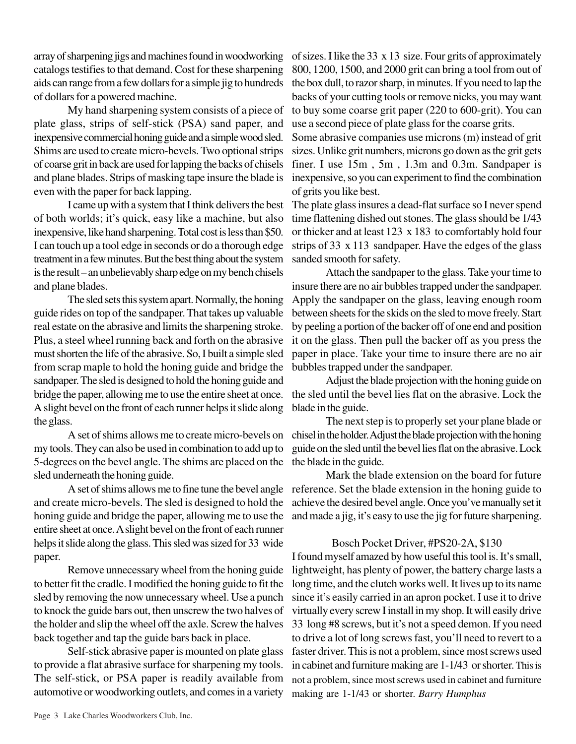array of sharpening jigs and machines found in woodworking catalogs testifies to that demand. Cost for these sharpening aids can range from a few dollars for a simple jig to hundreds of dollars for a powered machine.

My hand sharpening system consists of a piece of plate glass, strips of self-stick (PSA) sand paper, and inexpensive commercial honing guide and a simple wood sled. Shims are used to create micro-bevels. Two optional strips of coarse grit in back are used for lapping the backs of chisels and plane blades. Strips of masking tape insure the blade is even with the paper for back lapping.

I came up with a system that I think delivers the best of both worlds; it's quick, easy like a machine, but also inexpensive, like hand sharpening. Total cost is less than \$50. I can touch up a tool edge in seconds or do a thorough edge treatment in a few minutes. But the best thing about the system is the result – an unbelievably sharp edge on my bench chisels and plane blades.

The sled sets this system apart. Normally, the honing guide rides on top of the sandpaper. That takes up valuable real estate on the abrasive and limits the sharpening stroke. Plus, a steel wheel running back and forth on the abrasive must shorten the life of the abrasive. So, I built a simple sled from scrap maple to hold the honing guide and bridge the sandpaper. The sled is designed to hold the honing guide and bridge the paper, allowing me to use the entire sheet at once. A slight bevel on the front of each runner helps it slide along the glass.

A set of shims allows me to create micro-bevels on my tools. They can also be used in combination to add up to 5-degrees on the bevel angle. The shims are placed on the sled underneath the honing guide.

and create micro-bevels. The sled is designed to hold the honing guide and bridge the paper, allowing me to use the entire sheet at once. A slight bevel on the front of each runner helps it slide along the glass. This sled was sized for 33 wide paper.

Remove unnecessary wheel from the honing guide to better fit the cradle. I modified the honing guide to fit the sled by removing the now unnecessary wheel. Use a punch to knock the guide bars out, then unscrew the two halves of the holder and slip the wheel off the axle. Screw the halves back together and tap the guide bars back in place.

Self-stick abrasive paper is mounted on plate glass to provide a flat abrasive surface for sharpening my tools. The self-stick, or PSA paper is readily available from automotive or woodworking outlets, and comes in a variety

of sizes. I like the 33 x 13 size. Four grits of approximately 800, 1200, 1500, and 2000 grit can bring a tool from out of the box dull, to razor sharp, in minutes. If you need to lap the backs of your cutting tools or remove nicks, you may want to buy some coarse grit paper (220 to 600-grit). You can use a second piece of plate glass for the coarse grits.

Some abrasive companies use microns (m) instead of grit sizes. Unlike grit numbers, microns go down as the grit gets finer. I use 15m , 5m , 1.3m and 0.3m. Sandpaper is inexpensive, so you can experiment to find the combination of grits you like best.

The plate glass insures a dead-flat surface so I never spend time flattening dished out stones. The glass should be 1/43 or thicker and at least 123 x 183 to comfortably hold four strips of 33 x 113 sandpaper. Have the edges of the glass sanded smooth for safety.

Attach the sandpaper to the glass. Take your time to insure there are no air bubbles trapped under the sandpaper. Apply the sandpaper on the glass, leaving enough room between sheets for the skids on the sled to move freely. Start by peeling a portion of the backer off of one end and position it on the glass. Then pull the backer off as you press the paper in place. Take your time to insure there are no air bubbles trapped under the sandpaper.

Adjust the blade projection with the honing guide on the sled until the bevel lies flat on the abrasive. Lock the blade in the guide.

The next step is to properly set your plane blade or chisel in the holder. Adjust the blade projection with the honing guide on the sled until the bevel lies flat on the abrasive. Lock the blade in the guide.

A set of shims allows me to fine tune the bevel angle reference. Set the blade extension in the honing guide to Mark the blade extension on the board for future achieve the desired bevel angle.Once you've manually set it and made a jig, it's easy to use the jig for future sharpening.

# Bosch Pocket Driver, #PS20-2A, \$130

I found myself amazed by how useful this tool is. It's small, lightweight, has plenty of power, the battery charge lasts a long time, and the clutch works well. It lives up to its name since it's easily carried in an apron pocket. I use it to drive virtually every screw I install in my shop. It will easily drive 33 long #8 screws, but it's not a speed demon. If you need to drive a lot of long screws fast, you'll need to revert to a faster driver. This is not a problem, since most screws used in cabinet and furniture making are 1-1/43 or shorter. This is not a problem, since most screws used in cabinet and furniture making are 1-1/43 or shorter. *Barry Humphus*